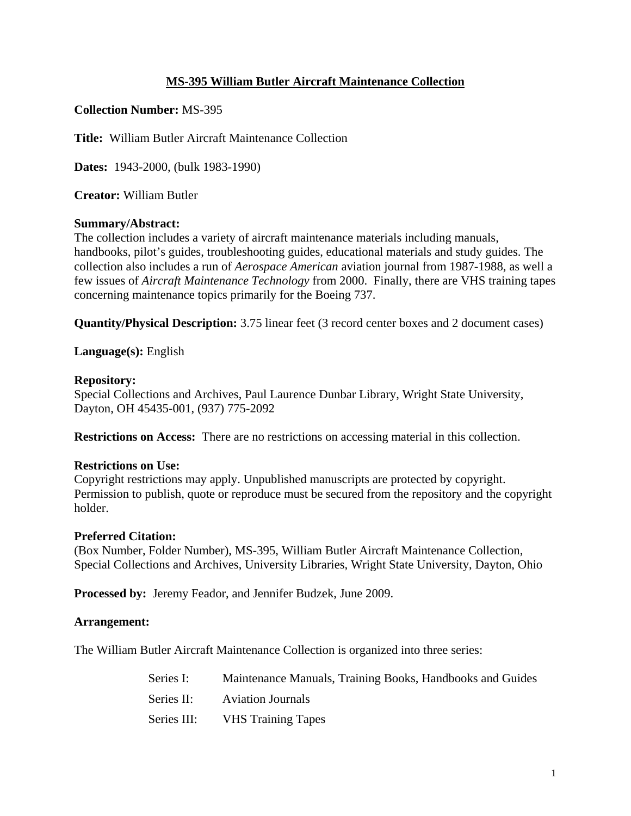## **MS-395 William Butler Aircraft Maintenance Collection**

**Collection Number:** MS-395

**Title:** William Butler Aircraft Maintenance Collection

**Dates:** 1943-2000, (bulk 1983-1990)

**Creator:** William Butler

## **Summary/Abstract:**

The collection includes a variety of aircraft maintenance materials including manuals, handbooks, pilot's guides, troubleshooting guides, educational materials and study guides. The collection also includes a run of *Aerospace American* aviation journal from 1987-1988, as well a few issues of *Aircraft Maintenance Technology* from 2000. Finally, there are VHS training tapes concerning maintenance topics primarily for the Boeing 737.

**Quantity/Physical Description:** 3.75 linear feet (3 record center boxes and 2 document cases)

**Language(s):** English

## **Repository:**

Special Collections and Archives, Paul Laurence Dunbar Library, Wright State University, Dayton, OH 45435-001, (937) 775-2092

**Restrictions on Access:** There are no restrictions on accessing material in this collection.

## **Restrictions on Use:**

Copyright restrictions may apply. Unpublished manuscripts are protected by copyright. Permission to publish, quote or reproduce must be secured from the repository and the copyright holder.

## **Preferred Citation:**

(Box Number, Folder Number), MS-395, William Butler Aircraft Maintenance Collection, Special Collections and Archives, University Libraries, Wright State University, Dayton, Ohio

**Processed by:** Jeremy Feador, and Jennifer Budzek, June 2009.

## **Arrangement:**

The William Butler Aircraft Maintenance Collection is organized into three series:

Series I: Maintenance Manuals, Training Books, Handbooks and Guides Series II: Aviation Journals Series III: VHS Training Tapes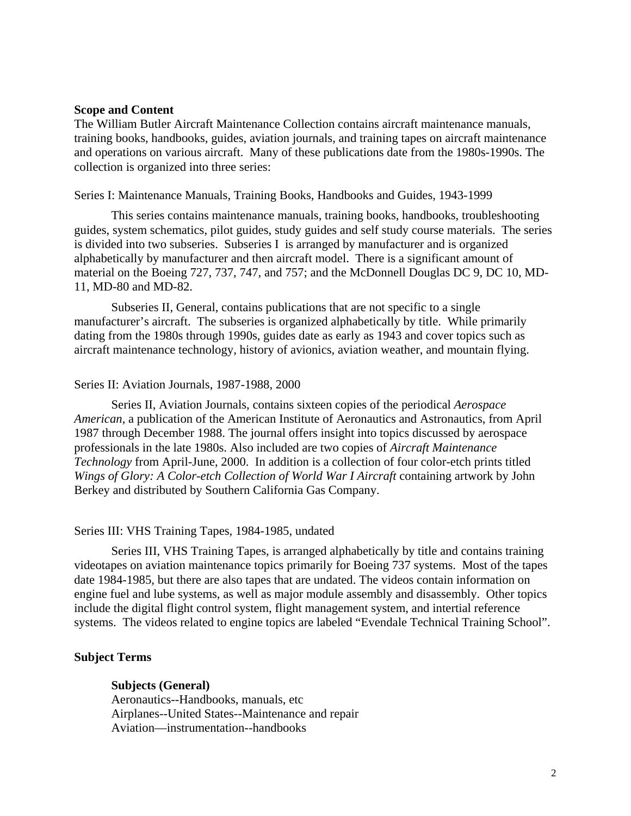#### **Scope and Content**

The William Butler Aircraft Maintenance Collection contains aircraft maintenance manuals, training books, handbooks, guides, aviation journals, and training tapes on aircraft maintenance and operations on various aircraft. Many of these publications date from the 1980s-1990s. The collection is organized into three series:

#### Series I: Maintenance Manuals, Training Books, Handbooks and Guides, 1943-1999

This series contains maintenance manuals, training books, handbooks, troubleshooting guides, system schematics, pilot guides, study guides and self study course materials. The series is divided into two subseries. Subseries I is arranged by manufacturer and is organized alphabetically by manufacturer and then aircraft model. There is a significant amount of material on the Boeing 727, 737, 747, and 757; and the McDonnell Douglas DC 9, DC 10, MD-11, MD-80 and MD-82.

Subseries II, General, contains publications that are not specific to a single manufacturer's aircraft. The subseries is organized alphabetically by title. While primarily dating from the 1980s through 1990s, guides date as early as 1943 and cover topics such as aircraft maintenance technology, history of avionics, aviation weather, and mountain flying.

#### Series II: Aviation Journals, 1987-1988, 2000

Series II, Aviation Journals, contains sixteen copies of the periodical *Aerospace American*, a publication of the American Institute of Aeronautics and Astronautics, from April 1987 through December 1988. The journal offers insight into topics discussed by aerospace professionals in the late 1980s. Also included are two copies of *Aircraft Maintenance Technology* from April-June, 2000. In addition is a collection of four color-etch prints titled *Wings of Glory: A Color-etch Collection of World War I Aircraft* containing artwork by John Berkey and distributed by Southern California Gas Company.

#### Series III: VHS Training Tapes, 1984-1985, undated

Series III, VHS Training Tapes, is arranged alphabetically by title and contains training videotapes on aviation maintenance topics primarily for Boeing 737 systems. Most of the tapes date 1984-1985, but there are also tapes that are undated. The videos contain information on engine fuel and lube systems, as well as major module assembly and disassembly. Other topics include the digital flight control system, flight management system, and intertial reference systems. The videos related to engine topics are labeled "Evendale Technical Training School".

#### **Subject Terms**

#### **Subjects (General)**

Aeronautics--Handbooks, manuals, etc Airplanes--United States--Maintenance and repair Aviation—instrumentation--handbooks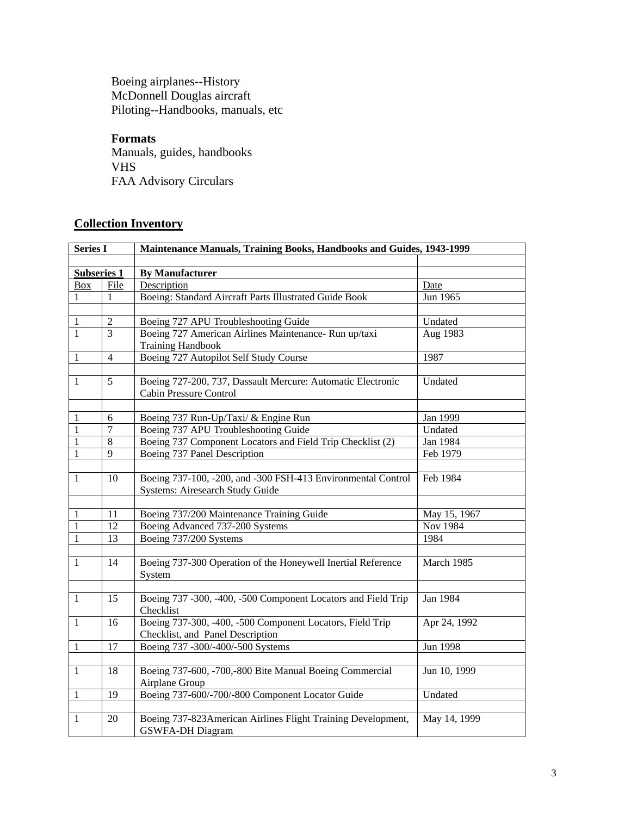Boeing airplanes--History McDonnell Douglas aircraft Piloting--Handbooks, manuals, etc

**Formats**  Manuals, guides, handbooks VHS

FAA Advisory Circulars

# **Collection Inventory**

| <b>Series I</b>    |                  | Maintenance Manuals, Training Books, Handbooks and Guides, 1943-1999                            |              |  |
|--------------------|------------------|-------------------------------------------------------------------------------------------------|--------------|--|
|                    |                  |                                                                                                 |              |  |
| <b>Subseries 1</b> |                  | <b>By Manufacturer</b>                                                                          |              |  |
| <b>Box</b>         | <b>File</b>      | Description                                                                                     | Date         |  |
| 1                  | 1                | Boeing: Standard Aircraft Parts Illustrated Guide Book                                          | Jun 1965     |  |
|                    |                  |                                                                                                 |              |  |
| 1                  | $\overline{2}$   | Boeing 727 APU Troubleshooting Guide                                                            | Undated      |  |
| $\mathbf{1}$       | 3                | Boeing 727 American Airlines Maintenance- Run up/taxi<br><b>Training Handbook</b>               | Aug 1983     |  |
| 1                  | $\overline{4}$   | Boeing 727 Autopilot Self Study Course                                                          | 1987         |  |
|                    |                  |                                                                                                 |              |  |
| $\mathbf{1}$       | 5                | Boeing 727-200, 737, Dassault Mercure: Automatic Electronic<br>Cabin Pressure Control           | Undated      |  |
|                    |                  |                                                                                                 |              |  |
| $\mathbf{1}$       | 6                | Boeing 737 Run-Up/Taxi/ & Engine Run                                                            | Jan 1999     |  |
| 1                  | $\boldsymbol{7}$ | Boeing 737 APU Troubleshooting Guide                                                            | Undated      |  |
| 1                  | 8                | Boeing 737 Component Locators and Field Trip Checklist (2)                                      | Jan 1984     |  |
| 1                  | 9                | Boeing 737 Panel Description                                                                    | Feb 1979     |  |
| $\mathbf{1}$       | 10               | Boeing 737-100, -200, and -300 FSH-413 Environmental Control<br>Systems: Airesearch Study Guide | Feb 1984     |  |
| 1                  | 11               | Boeing 737/200 Maintenance Training Guide                                                       | May 15, 1967 |  |
| 1                  | 12               | Boeing Advanced 737-200 Systems                                                                 | Nov 1984     |  |
| 1                  | 13               | Boeing 737/200 Systems                                                                          | 1984         |  |
|                    |                  |                                                                                                 |              |  |
| $\mathbf{1}$       | 14               | Boeing 737-300 Operation of the Honeywell Inertial Reference<br>System                          | March 1985   |  |
| $\mathbf{1}$       | 15               | Boeing 737 -300, -400, -500 Component Locators and Field Trip<br>Checklist                      | Jan 1984     |  |
| $\mathbf{1}$       | 16               | Boeing 737-300, -400, -500 Component Locators, Field Trip<br>Checklist, and Panel Description   | Apr 24, 1992 |  |
| $\mathbf{1}$       | 17               | Boeing 737 -300/-400/-500 Systems                                                               | Jun 1998     |  |
|                    |                  |                                                                                                 |              |  |
| $\mathbf{1}$       | 18               | Boeing 737-600, -700,-800 Bite Manual Boeing Commercial<br>Airplane Group                       | Jun 10, 1999 |  |
| 1                  | 19               | Boeing 737-600/-700/-800 Component Locator Guide                                                | Undated      |  |
|                    |                  |                                                                                                 |              |  |
| $\mathbf{1}$       | 20               | Boeing 737-823 American Airlines Flight Training Development,<br><b>GSWFA-DH Diagram</b>        | May 14, 1999 |  |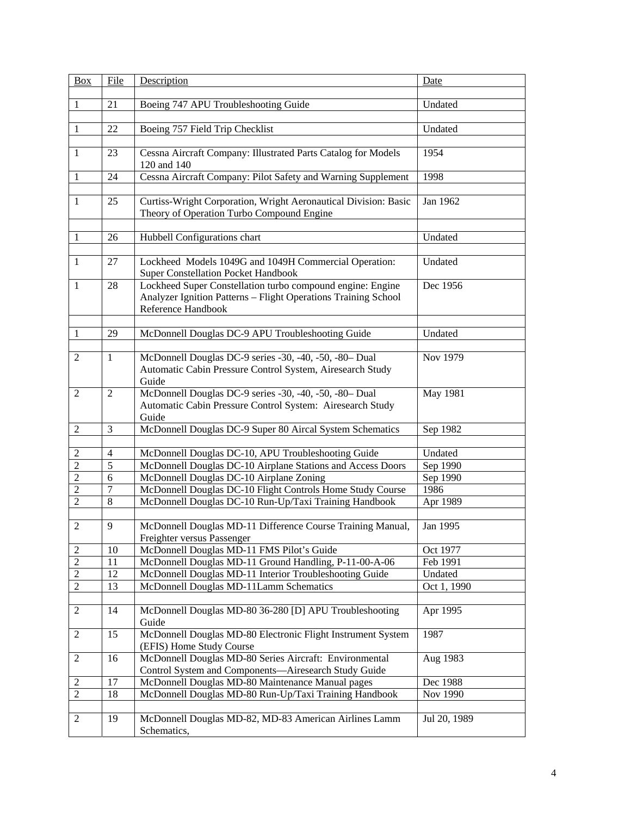| <b>Box</b>                       | File                | Description                                                                                                                                        | Date                 |
|----------------------------------|---------------------|----------------------------------------------------------------------------------------------------------------------------------------------------|----------------------|
| 1                                | 21                  | Boeing 747 APU Troubleshooting Guide                                                                                                               | Undated              |
| $\mathbf{1}$                     | 22                  | Boeing 757 Field Trip Checklist                                                                                                                    | Undated              |
|                                  |                     |                                                                                                                                                    |                      |
| $\mathbf{1}$                     | 23                  | Cessna Aircraft Company: Illustrated Parts Catalog for Models<br>120 and 140                                                                       | 1954                 |
| 1                                | 24                  | Cessna Aircraft Company: Pilot Safety and Warning Supplement                                                                                       | 1998                 |
|                                  |                     |                                                                                                                                                    |                      |
| -1                               | 25                  | Curtiss-Wright Corporation, Wright Aeronautical Division: Basic<br>Theory of Operation Turbo Compound Engine                                       | Jan 1962             |
|                                  |                     |                                                                                                                                                    |                      |
| -1                               | 26                  | Hubbell Configurations chart                                                                                                                       | Undated              |
| $\mathbf{1}$                     | 27                  | Lockheed Models 1049G and 1049H Commercial Operation:<br><b>Super Constellation Pocket Handbook</b>                                                | Undated              |
| $\mathbf{1}$                     | 28                  | Lockheed Super Constellation turbo compound engine: Engine<br>Analyzer Ignition Patterns - Flight Operations Training School<br>Reference Handbook | Dec 1956             |
|                                  |                     |                                                                                                                                                    |                      |
| $\mathbf{1}$                     | 29                  | McDonnell Douglas DC-9 APU Troubleshooting Guide                                                                                                   | Undated              |
|                                  | $\mathbf{1}$        | McDonnell Douglas DC-9 series -30, -40, -50, -80- Dual                                                                                             | Nov 1979             |
| 2                                |                     | Automatic Cabin Pressure Control System, Airesearch Study                                                                                          |                      |
|                                  |                     | Guide                                                                                                                                              |                      |
| 2                                | $\overline{2}$      | McDonnell Douglas DC-9 series -30, -40, -50, -80- Dual                                                                                             | May 1981             |
|                                  |                     | Automatic Cabin Pressure Control System: Airesearch Study                                                                                          |                      |
|                                  |                     | Guide                                                                                                                                              |                      |
| $\overline{2}$                   | 3                   | McDonnell Douglas DC-9 Super 80 Aircal System Schematics                                                                                           | Sep 1982             |
|                                  |                     |                                                                                                                                                    |                      |
| $\overline{2}$                   | $\overline{4}$<br>5 | McDonnell Douglas DC-10, APU Troubleshooting Guide<br>McDonnell Douglas DC-10 Airplane Stations and Access Doors                                   | Undated              |
| $\overline{2}$<br>$\overline{2}$ | 6                   | McDonnell Douglas DC-10 Airplane Zoning                                                                                                            | Sep 1990<br>Sep 1990 |
| $\overline{2}$                   | $\overline{7}$      | McDonnell Douglas DC-10 Flight Controls Home Study Course                                                                                          | 1986                 |
| $\overline{2}$                   | 8                   | McDonnell Douglas DC-10 Run-Up/Taxi Training Handbook                                                                                              | Apr 1989             |
|                                  |                     |                                                                                                                                                    |                      |
| $\overline{2}$                   | 9                   | McDonnell Douglas MD-11 Difference Course Training Manual,<br>Freighter versus Passenger                                                           | Jan 1995             |
| 2                                | 10                  | McDonnell Douglas MD-11 FMS Pilot's Guide                                                                                                          | Oct 1977             |
| $\overline{2}$                   | 11                  | McDonnell Douglas MD-11 Ground Handling, P-11-00-A-06                                                                                              | Feb 1991             |
| 2                                | 12                  | McDonnell Douglas MD-11 Interior Troubleshooting Guide                                                                                             | Undated              |
| $\mathfrak{2}$                   | 13                  | McDonnell Douglas MD-11Lamm Schematics                                                                                                             | Oct 1, 1990          |
|                                  |                     |                                                                                                                                                    |                      |
| 2                                | 14                  | McDonnell Douglas MD-80 36-280 [D] APU Troubleshooting<br>Guide                                                                                    | Apr 1995             |
| 2                                | 15                  | McDonnell Douglas MD-80 Electronic Flight Instrument System<br>(EFIS) Home Study Course                                                            | 1987                 |
| 2                                | 16                  | McDonnell Douglas MD-80 Series Aircraft: Environmental                                                                                             | Aug 1983             |
|                                  |                     | Control System and Components-Airesearch Study Guide                                                                                               |                      |
| 2                                | 17                  | McDonnell Douglas MD-80 Maintenance Manual pages                                                                                                   | Dec 1988             |
| $\overline{2}$                   | 18                  | McDonnell Douglas MD-80 Run-Up/Taxi Training Handbook                                                                                              | Nov 1990             |
| 2                                | 19                  | McDonnell Douglas MD-82, MD-83 American Airlines Lamm<br>Schematics,                                                                               | Jul 20, 1989         |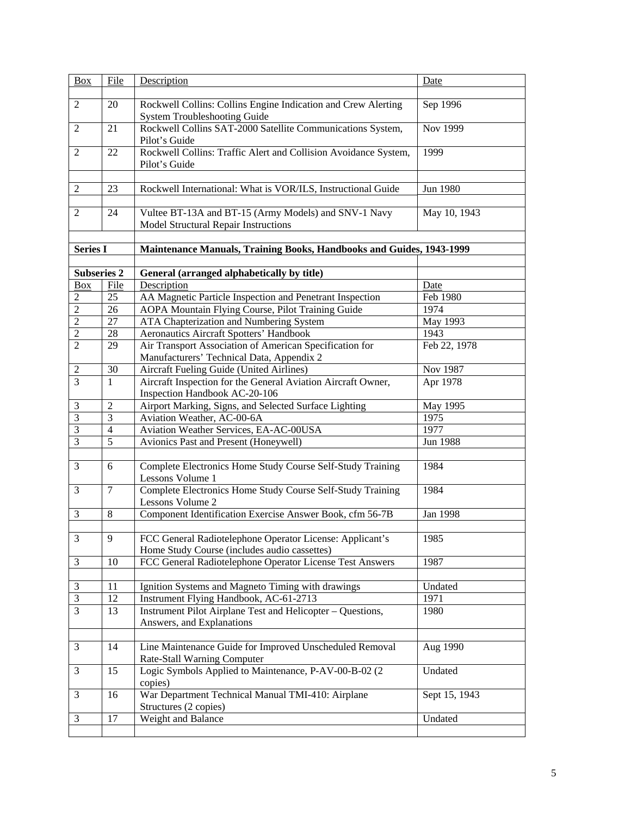| <b>Box</b>         | File           | Description                                                                                              | Date          |
|--------------------|----------------|----------------------------------------------------------------------------------------------------------|---------------|
| $\overline{2}$     | 20             | Rockwell Collins: Collins Engine Indication and Crew Alerting<br>System Troubleshooting Guide            | Sep 1996      |
| 2                  | 21             | Rockwell Collins SAT-2000 Satellite Communications System,<br>Pilot's Guide                              | Nov 1999      |
| 2                  | 22             | Rockwell Collins: Traffic Alert and Collision Avoidance System,<br>Pilot's Guide                         | 1999          |
| 2                  | 23             | Rockwell International: What is VOR/ILS, Instructional Guide                                             | Jun 1980      |
|                    |                |                                                                                                          |               |
| 2                  | 24             | Vultee BT-13A and BT-15 (Army Models) and SNV-1 Navy<br>Model Structural Repair Instructions             | May 10, 1943  |
| <b>Series I</b>    |                | Maintenance Manuals, Training Books, Handbooks and Guides, 1943-1999                                     |               |
|                    |                |                                                                                                          |               |
| <b>Subseries 2</b> |                | General (arranged alphabetically by title)                                                               |               |
| Box                | File           | Description                                                                                              | Date          |
| $\mathfrak{2}$     | 25             | AA Magnetic Particle Inspection and Penetrant Inspection                                                 | Feb 1980      |
| $\overline{2}$     | 26             | AOPA Mountain Flying Course, Pilot Training Guide                                                        | 1974          |
| $\overline{2}$     | 27             | ATA Chapterization and Numbering System                                                                  | May 1993      |
| $\overline{2}$     | 28             | Aeronautics Aircraft Spotters' Handbook                                                                  | 1943          |
| $\overline{2}$     | 29             | Air Transport Association of American Specification for                                                  | Feb 22, 1978  |
|                    |                | Manufacturers' Technical Data, Appendix 2                                                                |               |
| $\overline{c}$     | 30             | Aircraft Fueling Guide (United Airlines)                                                                 | Nov 1987      |
| 3                  | $\mathbf{1}$   | Aircraft Inspection for the General Aviation Aircraft Owner,<br>Inspection Handbook AC-20-106            | Apr 1978      |
| 3                  | $\overline{2}$ | Airport Marking, Signs, and Selected Surface Lighting                                                    | May 1995      |
| 3                  | 3              | Aviation Weather, AC-00-6A                                                                               | 1975          |
| 3                  | $\overline{4}$ | Aviation Weather Services, EA-AC-00USA                                                                   | 1977          |
| 3                  | 5              | Avionics Past and Present (Honeywell)                                                                    | Jun 1988      |
|                    |                |                                                                                                          |               |
| 3                  | 6              | Complete Electronics Home Study Course Self-Study Training<br>Lessons Volume 1                           | 1984          |
| 3                  | $\tau$         | Complete Electronics Home Study Course Self-Study Training<br>Lessons Volume 2                           | 1984          |
| 3                  | 8              | Component Identification Exercise Answer Book, cfm 56-7B                                                 | Jan 1998      |
|                    |                |                                                                                                          |               |
| $\mathfrak{Z}$     | 9              | FCC General Radiotelephone Operator License: Applicant's<br>Home Study Course (includes audio cassettes) | 1985          |
| 3                  | 10             | FCC General Radiotelephone Operator License Test Answers                                                 | 1987          |
|                    |                |                                                                                                          |               |
| 3                  | 11             | Ignition Systems and Magneto Timing with drawings                                                        | Undated       |
| $\mathfrak{Z}$     | 12             | Instrument Flying Handbook, AC-61-2713                                                                   | 1971          |
| 3                  | 13             | Instrument Pilot Airplane Test and Helicopter – Questions,<br>Answers, and Explanations                  | 1980          |
| 3                  | 14             | Line Maintenance Guide for Improved Unscheduled Removal<br>Rate-Stall Warning Computer                   | Aug 1990      |
| 3                  | 15             | Logic Symbols Applied to Maintenance, P-AV-00-B-02 (2<br>copies)                                         | Undated       |
| 3                  | 16             | War Department Technical Manual TMI-410: Airplane<br>Structures (2 copies)                               | Sept 15, 1943 |
| 3                  | 17             | Weight and Balance                                                                                       | Undated       |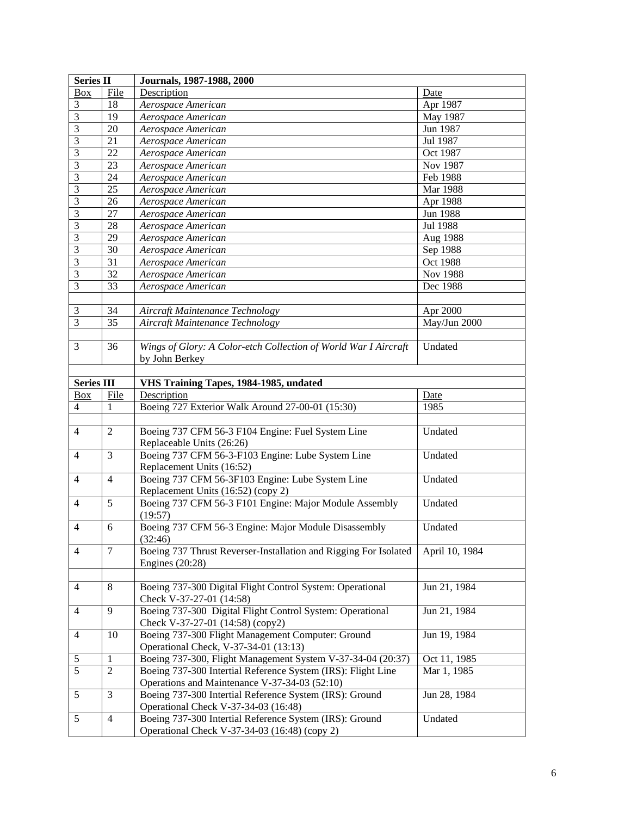| <b>Series II</b>  |                | Journals, 1987-1988, 2000                                        |                |  |
|-------------------|----------------|------------------------------------------------------------------|----------------|--|
| Box               | File           | Description                                                      | Date           |  |
| 3                 | 18             | Aerospace American                                               | Apr 1987       |  |
| 3                 | 19             | Aerospace American                                               | May 1987       |  |
| 3                 | 20             | Aerospace American                                               | Jun 1987       |  |
| 3                 | 21             | Aerospace American                                               | Jul 1987       |  |
| 3                 | 22             | Aerospace American                                               | Oct 1987       |  |
| 3                 | 23             | Aerospace American                                               | Nov 1987       |  |
| 3                 | 24             | Aerospace American                                               | Feb 1988       |  |
| 3                 | 25             | Aerospace American                                               | Mar 1988       |  |
| 3                 | 26             | Aerospace American                                               | Apr 1988       |  |
| 3                 | 27             | Aerospace American                                               | Jun 1988       |  |
| 3                 | 28             | Aerospace American                                               | Jul 1988       |  |
| 3                 | 29             | Aerospace American                                               | Aug 1988       |  |
| 3                 | 30             | Aerospace American                                               | Sep 1988       |  |
| 3                 | 31             | Aerospace American                                               | Oct 1988       |  |
| 3                 | 32             | Aerospace American                                               | Nov 1988       |  |
| 3                 | 33             | Aerospace American                                               | Dec 1988       |  |
|                   |                |                                                                  |                |  |
| 3                 | 34             | Aircraft Maintenance Technology                                  | Apr 2000       |  |
| 3                 | 35             | Aircraft Maintenance Technology                                  | May/Jun 2000   |  |
|                   |                |                                                                  |                |  |
| 3                 | 36             | Wings of Glory: A Color-etch Collection of World War I Aircraft  | Undated        |  |
|                   |                | by John Berkey                                                   |                |  |
|                   |                |                                                                  |                |  |
| <b>Series III</b> |                | VHS Training Tapes, 1984-1985, undated                           |                |  |
| Box               | File           | Description                                                      | Date           |  |
| 4                 | 1              | Boeing 727 Exterior Walk Around 27-00-01 (15:30)                 | 1985           |  |
|                   |                |                                                                  |                |  |
| $\overline{4}$    | $\overline{2}$ | Boeing 737 CFM 56-3 F104 Engine: Fuel System Line                | Undated        |  |
|                   |                | Replaceable Units (26:26)                                        |                |  |
| 4                 | 3              | Boeing 737 CFM 56-3-F103 Engine: Lube System Line                | Undated        |  |
|                   |                | Replacement Units (16:52)                                        |                |  |
| $\overline{4}$    | 4              | Boeing 737 CFM 56-3F103 Engine: Lube System Line                 | Undated        |  |
|                   |                | Replacement Units (16:52) (copy 2)                               |                |  |
| 4                 | 5              | Boeing 737 CFM 56-3 F101 Engine: Major Module Assembly           | Undated        |  |
|                   |                | (19:57)                                                          |                |  |
| $\overline{4}$    | 6              | Boeing 737 CFM 56-3 Engine: Major Module Disassembly             | Undated        |  |
|                   |                | (32:46)                                                          |                |  |
| 4                 | $\overline{7}$ | Boeing 737 Thrust Reverser-Installation and Rigging For Isolated | April 10, 1984 |  |
|                   |                | Engines $(20:28)$                                                |                |  |
|                   |                |                                                                  |                |  |
| 4                 | 8              | Boeing 737-300 Digital Flight Control System: Operational        | Jun 21, 1984   |  |
|                   |                | Check V-37-27-01 (14:58)                                         |                |  |
| 4                 | 9              | Boeing 737-300 Digital Flight Control System: Operational        | Jun 21, 1984   |  |
|                   |                | Check V-37-27-01 (14:58) (copy2)                                 |                |  |
| $\overline{4}$    | 10             | Boeing 737-300 Flight Management Computer: Ground                | Jun 19, 1984   |  |
|                   |                | Operational Check, V-37-34-01 (13:13)                            |                |  |
| 5                 | 1              | Boeing 737-300, Flight Management System V-37-34-04 (20:37)      | Oct 11, 1985   |  |
| 5                 | $\overline{2}$ |                                                                  |                |  |
|                   |                | Boeing 737-300 Intertial Reference System (IRS): Flight Line     | Mar 1, 1985    |  |
|                   |                | Operations and Maintenance V-37-34-03 (52:10)                    |                |  |
| 5                 | 3              | Boeing 737-300 Intertial Reference System (IRS): Ground          | Jun 28, 1984   |  |
|                   |                | Operational Check V-37-34-03 (16:48)                             |                |  |
| 5                 | 4              | Boeing 737-300 Intertial Reference System (IRS): Ground          | Undated        |  |
|                   |                | Operational Check V-37-34-03 (16:48) (copy 2)                    |                |  |